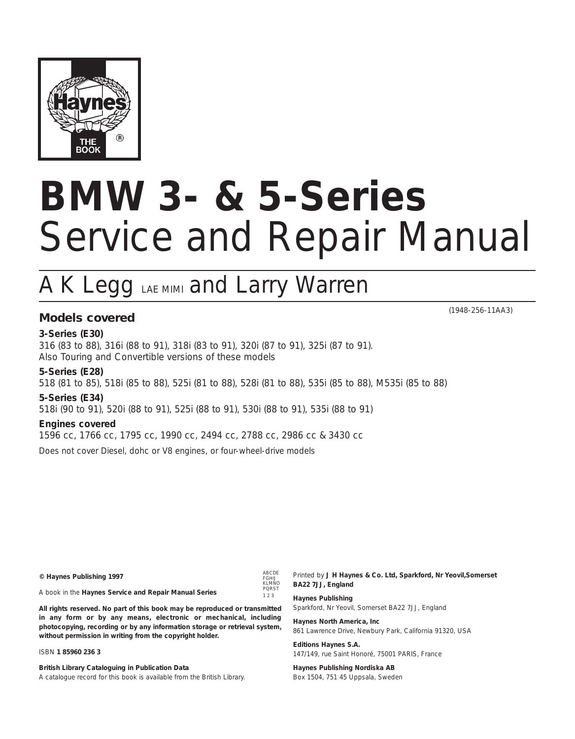

# **BMW 3- & 5-Series** Service and Repair Manual

## A K Legg LAE MIMI and Larry Warren

#### **Models covered**

*(1948-256-11AA3)*

**3-Series (E30)** 316 (83 to 88), 316i (88 to 91), 318i (83 to 91), 320i (87 to 91), 325i (87 to 91). Also Touring and Convertible versions of these models

**5-Series (E28)**

518 (81 to 85), 518i (85 to 88), 525i (81 to 88), 528i (81 to 88), 535i (85 to 88), M535i (85 to 88)

#### **5-Series (E34)**

518i (90 to 91), 520i (88 to 91), 525i (88 to 91), 530i (88 to 91), 535i (88 to 91)

#### **Engines covered**

1596 cc, 1766 cc, 1795 cc, 1990 cc, 2494 cc, 2788 cc, 2986 cc & 3430 cc

*Does not cover Diesel, dohc or V8 engines, or four-wheel-drive models*

| © Haynes Publishing 1997 |  |
|--------------------------|--|
|                          |  |

**ABCDE**<br>EGHLL FGHIJ KLMNO PQRST 1 2 3

A book in the **Haynes Service and Repair Manual Series**

**All rights reserved. No part of this book may be reproduced or transmitted in any form or by any means, electronic or mechanical, including photocopying, recording or by any information storage or retrieval system, without permission in writing from the copyright holder.**

ISBN **1 85960 236 3**

**British Library Cataloguing in Publication Data** A catalogue record for this book is available from the British Library. Printed by **J H Haynes & Co. Ltd, Sparkford, Nr Yeovil,Somerset BA22 7JJ, England**

**Haynes Publishing** Sparkford, Nr Yeovil, Somerset BA22 7JJ, England

**Haynes North America, Inc** 861 Lawrence Drive, Newbury Park, California 91320, USA

**Editions Haynes S.A.** 147/149, rue Saint Honoré, 75001 PARIS, France

**Haynes Publishing Nordiska AB** Box 1504, 751 45 Uppsala, Sweden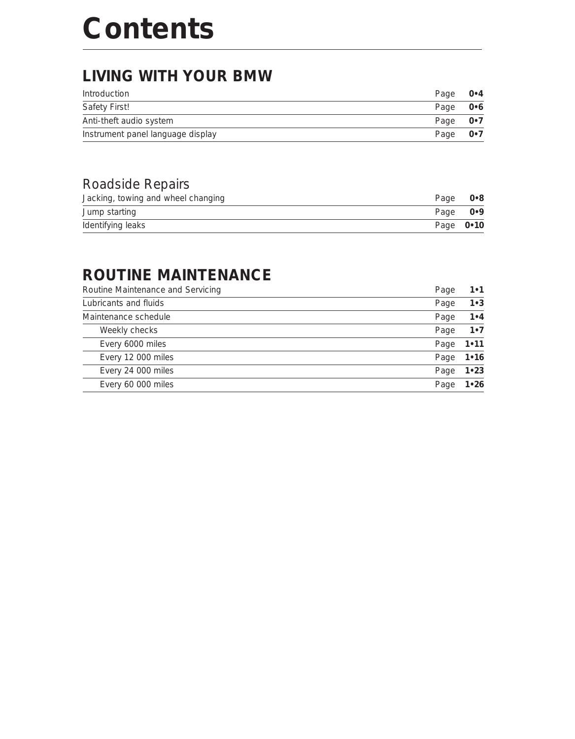# **Contents**

## **LIVING WITH YOUR BMW**

| Introduction                      | Page     | $0 - 4$ |
|-----------------------------------|----------|---------|
| Safety First!                     | Page     | $0 - 6$ |
| Anti-theft audio system           | Page     | 0·7     |
| Instrument panel language display | Page 0.7 |         |

## Roadside Repairs

| Jacking, towing and wheel changing | Page 0.8    |  |
|------------------------------------|-------------|--|
| Jump starting                      | Page 0.9    |  |
| Identifying leaks                  | Page $0.10$ |  |

## **ROUTINE MAINTENANCE**

| Routine Maintenance and Servicing<br>Page | $1 - 1$     |
|-------------------------------------------|-------------|
| Lubricants and fluids<br>Page             | $1 \cdot 3$ |
| Maintenance schedule<br>Page              | $1 - 4$     |
| Weekly checks<br>Page                     | $1 - 7$     |
| Every 6000 miles<br>Page                  | $1 - 11$    |
| Every 12 000 miles<br>Page                | $1 - 16$    |
| Every 24 000 miles<br>Page                | $1 - 23$    |
| Every 60 000 miles<br>Page                | 1.26        |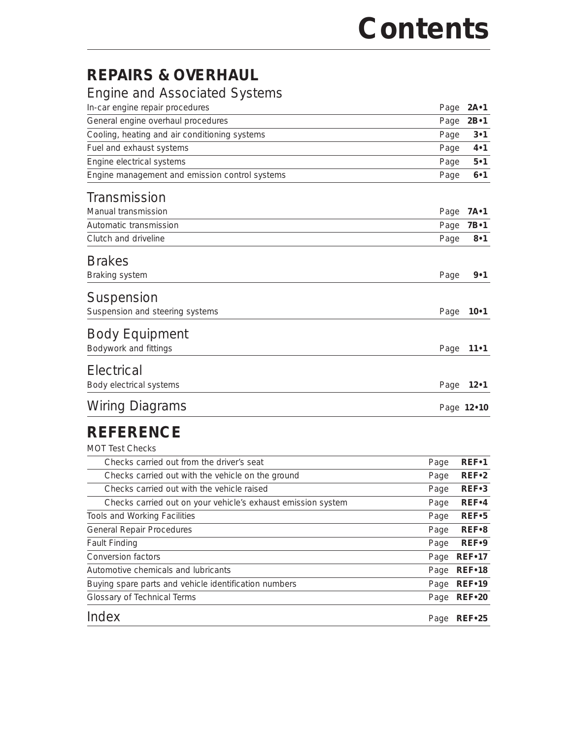## **REPAIRS & OVERHAUL**

## Engine and Associated Systems

| In-car engine repair procedures                | Page | $2A \cdot 1$ |
|------------------------------------------------|------|--------------|
| General engine overhaul procedures             | Page | $2B \cdot 1$ |
| Cooling, heating and air conditioning systems  | Page | $3 \cdot 1$  |
| Fuel and exhaust systems                       | Page | $4 \cdot 1$  |
| Engine electrical systems                      | Page | 5·1          |
| Engine management and emission control systems | Page | 6·1          |
| Transmission                                   |      |              |
| Manual transmission                            | Page | $7A-1$       |
| Automatic transmission                         | Page | $7B-1$       |
| Clutch and driveline                           | Page | 8·1          |
| <b>Brakes</b>                                  |      |              |
| Braking system                                 | Page | $9 - 1$      |
| Suspension                                     |      |              |
| Suspension and steering systems                | Page | $10 - 1$     |
| <b>Body Equipment</b>                          |      |              |
| Bodywork and fittings                          | Page | $11 - 1$     |
| Electrical                                     |      |              |
| Body electrical systems                        | Page | $12 - 1$     |
| Wiring Diagrams                                |      | Page 12.10   |

## **REFERENCE**

MOT Test Checks

| Checks carried out from the driver's seat                    | Page | $REF-1$  |
|--------------------------------------------------------------|------|----------|
| Checks carried out with the vehicle on the ground            | Page | $REF-2$  |
| Checks carried out with the vehicle raised                   | Page | $REF-3$  |
| Checks carried out on your vehicle's exhaust emission system | Page | $REF-4$  |
| Tools and Working Facilities                                 | Page | $REF-5$  |
| General Repair Procedures                                    | Page | $REF-8$  |
| <b>Fault Finding</b>                                         | Page | $REF-9$  |
| Conversion factors                                           | Page | REF•17   |
| Automotive chemicals and lubricants                          | Page | $REF-18$ |
| Buying spare parts and vehicle identification numbers        | Page | $REF-19$ |
| Glossary of Technical Terms                                  | Page | REF•20   |
| Index                                                        | Page | REF•25   |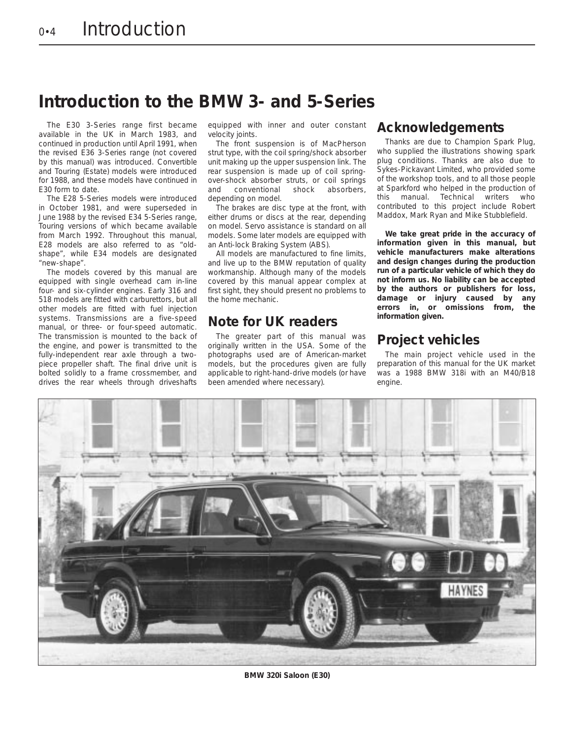## **Introduction to the BMW 3- and 5-Series**

The E30 3-Series range first became available in the UK in March 1983, and continued in production until April 1991, when the revised E36 3-Series range (not covered by this manual) was introduced. Convertible and Touring (Estate) models were introduced for 1988, and these models have continued in E30 form to date.

The E28 5-Series models were introduced in October 1981, and were superseded in June 1988 by the revised E34 5-Series range, Touring versions of which became available from March 1992. Throughout this manual, E28 models are also referred to as "oldshape", while E34 models are designated "new-shape".

The models covered by this manual are equipped with single overhead cam in-line four- and six-cylinder engines. Early 316 and 518 models are fitted with carburettors, but all other models are fitted with fuel injection systems. Transmissions are a five-speed manual, or three- or four-speed automatic. The transmission is mounted to the back of the engine, and power is transmitted to the fully-independent rear axle through a twopiece propeller shaft. The final drive unit is bolted solidly to a frame crossmember, and drives the rear wheels through driveshafts

equipped with inner and outer constant velocity joints.

The front suspension is of MacPherson strut type, with the coil spring/shock absorber unit making up the upper suspension link. The rear suspension is made up of coil springover-shock absorber struts, or coil springs<br>and conventional shock absorbers, and conventional depending on model.

The brakes are disc type at the front, with either drums or discs at the rear, depending on model. Servo assistance is standard on all models. Some later models are equipped with an Anti-lock Braking System (ABS).

All models are manufactured to fine limits, and live up to the BMW reputation of quality workmanship. Although many of the models covered by this manual appear complex at first sight, they should present no problems to the home mechanic.

### **Note for UK readers**

The greater part of this manual was originally written in the USA. Some of the photographs used are of American-market models, but the procedures given are fully applicable to right-hand-drive models (or have been amended where necessary).

#### **Acknowledgements**

Thanks are due to Champion Spark Plug, who supplied the illustrations showing spark plug conditions. Thanks are also due to Sykes-Pickavant Limited, who provided some of the workshop tools, and to all those people at Sparkford who helped in the production of this manual. Technical writers who contributed to this project include Robert Maddox, Mark Ryan and Mike Stubblefield.

**We take great pride in the accuracy of information given in this manual, but vehicle manufacturers make alterations and design changes during the production run of a particular vehicle of which they do not inform us. No liability can be accepted by the authors or publishers for loss, damage or injury caused by any errors in, or omissions from, the information given.**

#### **Project vehicles**

The main project vehicle used in the preparation of this manual for the UK market was a 1988 BMW 318i with an M40/B18 engine.



**BMW 320i Saloon (E30)**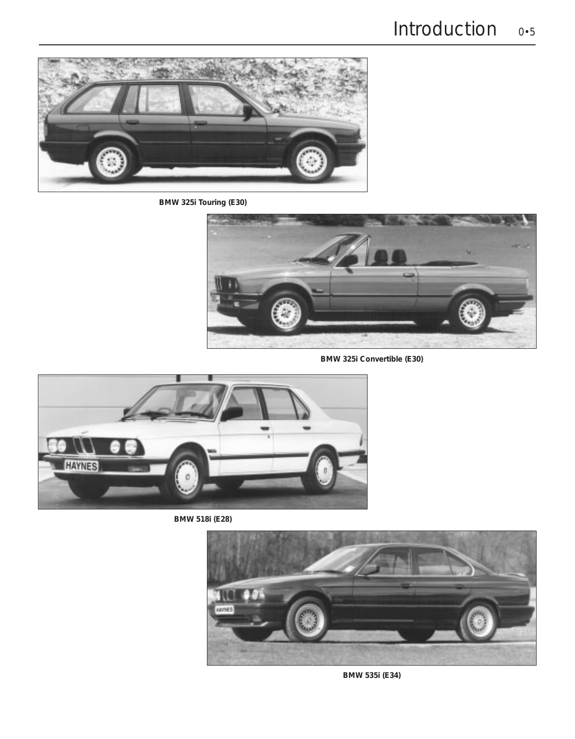

**BMW 325i Touring (E30)**



**BMW 325i Convertible (E30)**



**BMW 518i (E28)**



**BMW 535i (E34)**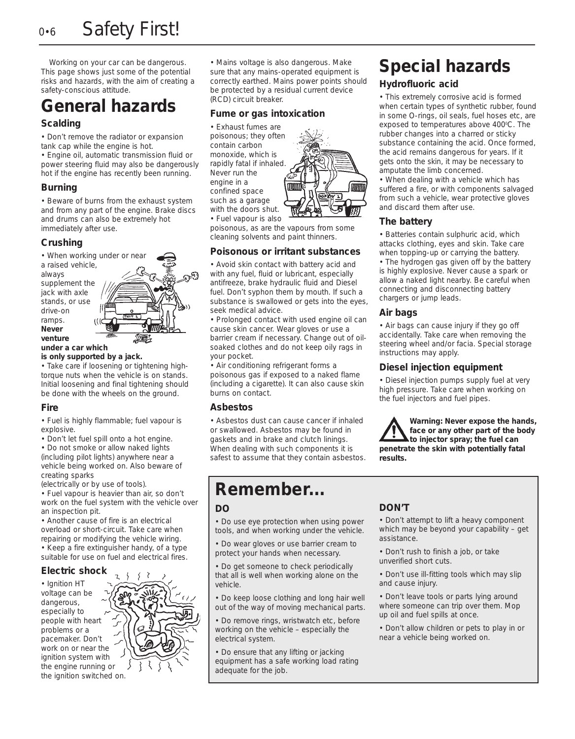Working on your car can be dangerous. This page shows just some of the potential risks and hazards, with the aim of creating a safety-conscious attitude.

## **General hazards Scalding**

• Don't remove the radiator or expansion tank cap while the engine is hot.

• Engine oil, automatic transmission fluid or power steering fluid may also be dangerously hot if the engine has recently been running.

#### **Burning**

• Beware of burns from the exhaust system and from any part of the engine. Brake discs and drums can also be extremely hot immediately after use.

#### **Crushing**

• When working under or near a raised vehicle, always supplement the jack with axle stands, or use drive-on ramps. *Never venture*



*under a car which is only supported by a jack.*

• Take care if loosening or tightening hightorque nuts when the vehicle is on stands. Initial loosening and final tightening should be done with the wheels on the ground.

#### **Fire**

• Fuel is highly flammable; fuel vapour is explosive.

• Don't let fuel spill onto a hot engine.

• Do not smoke or allow naked lights (including pilot lights) anywhere near a vehicle being worked on. Also beware of creating sparks

(electrically or by use of tools).

• Fuel vapour is heavier than air, so don't work on the fuel system with the vehicle over an inspection pit.

• Another cause of fire is an electrical overload or short-circuit. Take care when repairing or modifying the vehicle wiring. • Keep a fire extinguisher handy, of a type

suitable for use on fuel and electrical fires.

#### **Electric shock**

• Ignition HT voltage can be dangerous, especially to people with heart problems or a pacemaker. Don't work on or near the ignition system with the engine running or the ignition switched on.



• Mains voltage is also dangerous. Make sure that any mains-operated equipment is correctly earthed. Mains power points should be protected by a residual current device (RCD) circuit breaker.

#### **Fume or gas intoxication**

• Exhaust fumes are poisonous; they often contain carbon monoxide, which is rapidly fatal if inhaled. Never run the engine in a confined space such as a garage with the doors shut.

• Fuel vapour is also poisonous, as are the vapours from some

#### **Poisonous or irritant substances**

• Avoid skin contact with battery acid and with any fuel, fluid or lubricant, especially antifreeze, brake hydraulic fluid and Diesel fuel. Don't syphon them by mouth. If such a substance is swallowed or gets into the eyes, seek medical advice.

• Prolonged contact with used engine oil can cause skin cancer. Wear gloves or use a barrier cream if necessary. Change out of oilsoaked clothes and do not keep oily rags in your pocket.

• Air conditioning refrigerant forms a poisonous gas if exposed to a naked flame (including a cigarette). It can also cause skin burns on contact.

#### **Asbestos**

• Asbestos dust can cause cancer if inhaled or swallowed. Asbestos may be found in gaskets and in brake and clutch linings. When dealing with such components it is safest to assume that they contain asbestos. **Special hazards**

#### **Hydrofluoric acid**

• This extremely corrosive acid is formed when certain types of synthetic rubber, found in some O-rings, oil seals, fuel hoses etc, are exposed to temperatures above 400°C. The rubber changes into a charred or sticky substance containing the acid. *Once formed, the acid remains dangerous for years. If it gets onto the skin, it may be necessary to amputate the limb concerned.*

• When dealing with a vehicle which has suffered a fire, or with components salvaged from such a vehicle, wear protective gloves and discard them after use.

#### **The battery**

• Batteries contain sulphuric acid, which attacks clothing, eyes and skin. Take care when topping-up or carrying the battery. • The hydrogen gas given off by the battery is highly explosive. Never cause a spark or allow a naked light nearby. Be careful when connecting and disconnecting battery chargers or jump leads.

#### **Air bags**

• Air bags can cause injury if they go off accidentally. Take care when removing the steering wheel and/or facia. Special storage instructions may apply.

#### **Diesel injection equipment**

• Diesel injection pumps supply fuel at very high pressure. Take care when working on the fuel injectors and fuel pipes.

*Warning: Never expose the hands, face or any other part of the body to injector spray; the fuel can penetrate the skin with potentially fatal results.*

## **Remember...**

#### **DO**

• Do use eye protection when using power tools, and when working under the vehicle.

• Do wear gloves or use barrier cream to protect your hands when necessary.

• Do get someone to check periodically that all is well when working alone on the vehicle.

• Do keep loose clothing and long hair well out of the way of moving mechanical parts.

• Do remove rings, wristwatch etc, before working on the vehicle – especially the electrical system.

• Do ensure that any lifting or jacking equipment has a safe working load rating adequate for the job.

#### **DON'T**

• Don't attempt to lift a heavy component which may be beyond your capability – get assistance.

• Don't rush to finish a job, or take unverified short cuts.

• Don't use ill-fitting tools which may slip and cause injury.

• Don't leave tools or parts lying around where someone can trip over them. Mop up oil and fuel spills at once.

• Don't allow children or pets to play in or near a vehicle being worked on.

cleaning solvents and paint thinners.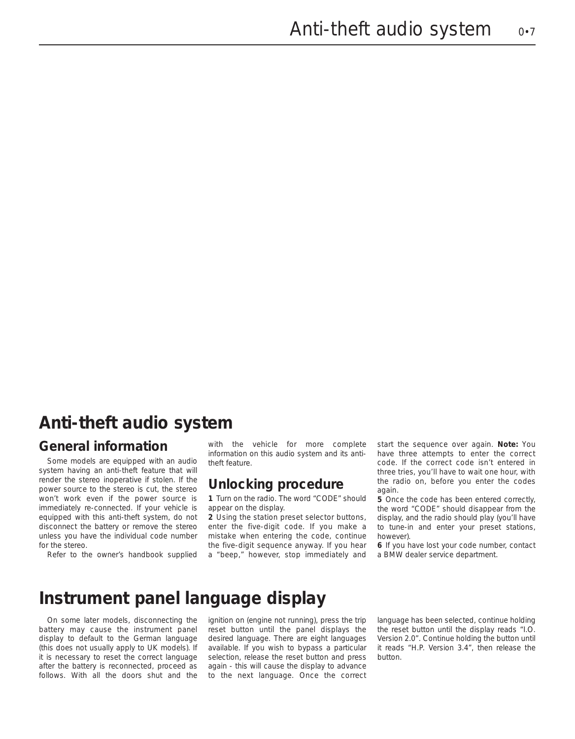## **Anti-theft audio system**

### **General information**

Some models are equipped with an audio system having an anti-theft feature that will render the stereo inoperative if stolen. If the power source to the stereo is cut, the stereo won't work even if the power source is immediately re-connected. If your vehicle is equipped with this anti-theft system, do not disconnect the battery or remove the stereo unless you have the individual code number for the stereo.

Refer to the owner's handbook supplied

with the vehicle for more complete information on this audio system and its antitheft feature.

#### **Unlocking procedure**

**1** Turn on the radio. The word "CODE" should appear on the display.

**2** Using the station preset selector buttons, enter the five-digit code. If you make a mistake when entering the code, continue the five-digit sequence anyway. If you hear a "beep," however, stop immediately and

start the sequence over again. **Note:** *You have three attempts to enter the correct code. If the correct code isn't entered in three tries, you'll have to wait one hour, with the radio on, before you enter the codes again.*

**5** Once the code has been entered correctly, the word "CODE" should disappear from the display, and the radio should play (you'll have to tune-in and enter your preset stations, however).

**6** If you have lost your code number, contact a BMW dealer service department.

## **Instrument panel language display**

On some later models, disconnecting the battery may cause the instrument panel display to default to the German language (this does not usually apply to UK models). If it is necessary to reset the correct language after the battery is reconnected, proceed as follows. With all the doors shut and the

ignition on (engine not running), press the trip reset button until the panel displays the desired language. There are eight languages available. If you wish to bypass a particular selection, release the reset button and press again - this will cause the display to advance to the next language. Once the correct

language has been selected, continue holding the reset button until the display reads "I.O. Version 2.0". Continue holding the button until it reads "H.P. Version 3.4", then release the button.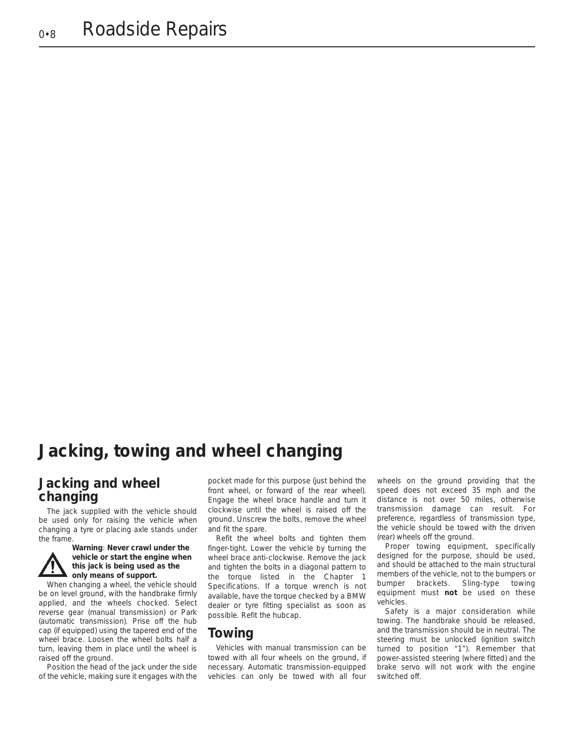## **Jacking, towing and wheel changing**

#### **Jacking and wheel changing**

The jack supplied with the vehicle should be used only for raising the vehicle when changing a tyre or placing axle stands under the frame.



#### *Warning: Never crawl under the vehicle or start the engine when this jack is being used as the only means of support.*

When changing a wheel, the vehicle should be on level ground, with the handbrake firmly applied, and the wheels chocked. Select reverse gear (manual transmission) or Park (automatic transmission). Prise off the hub cap (if equipped) using the tapered end of the wheel brace. Loosen the wheel bolts half a turn, leaving them in place until the wheel is raised off the ground.

Position the head of the jack under the side of the vehicle, making sure it engages with the pocket made for this purpose (just behind the front wheel, or forward of the rear wheel). Engage the wheel brace handle and turn it clockwise until the wheel is raised off the ground. Unscrew the bolts, remove the wheel and fit the spare.

Refit the wheel bolts and tighten them finger-tight. Lower the vehicle by turning the wheel brace anti-clockwise. Remove the jack and tighten the bolts in a diagonal pattern to the torque listed in the Chapter 1 Specifications. If a torque wrench is not available, have the torque checked by a BMW dealer or tyre fitting specialist as soon as possible. Refit the hubcap.

### **Towing**

Vehicles with manual transmission can be towed with all four wheels on the ground, if necessary. Automatic transmission-equipped vehicles can only be towed with all four wheels on the ground providing that the speed does not exceed 35 mph and the distance is not over 50 miles, otherwise transmission damage can result. For preference, regardless of transmission type, the vehicle should be towed with the driven (rear) wheels off the ground.

Proper towing equipment, specifically designed for the purpose, should be used, and should be attached to the main structural members of the vehicle, not to the bumpers or bumper brackets. Sling-type towing equipment must **not** be used on these vehicles.

Safety is a major consideration while towing. The handbrake should be released, and the transmission should be in neutral. The steering must be unlocked (ignition switch turned to position "1"). Remember that power-assisted steering (where fitted) and the brake servo will not work with the engine switched off.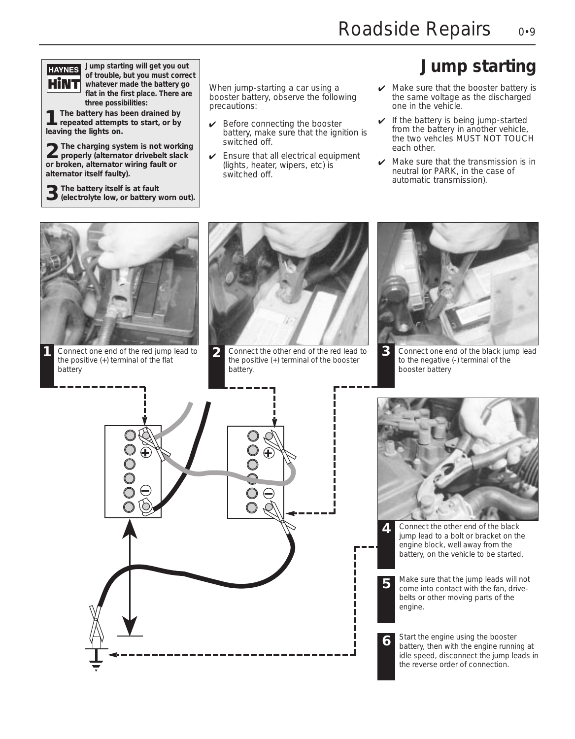

*Jump starting will get you out of trouble, but you must correct whatever made the battery go flat in the first place. There are three possibilities:*

*1The battery has been drained by repeated attempts to start, or by leaving the lights on.*

*2The charging system is not working properly (alternator drivebelt slack or broken, alternator wiring fault or alternator itself faulty).*

*3The battery itself is at fault (electrolyte low, or battery worn out).*

When jump-starting a car using a booster battery, observe the following precautions:

- $\vee$  Before connecting the booster battery, make sure that the ignition is switched off.
- $\swarrow$  Ensure that all electrical equipment (lights, heater, wipers, etc) is switched off.

## **Jump starting**

- $\mathcal V$  Make sure that the booster battery is the same voltage as the discharged one in the vehicle.
- If the battery is being jump-started from the battery in another vehicle, the two vehcles MUST NOT TOUCH each other.
- Make sure that the transmission is in neutral (or PARK, in the case of automatic transmission).



the positive (+) terminal of the flat battery



Connect one end of the red jump lead to **1 2 3** Connect the other end of the red lead to the positive (+) terminal of the booster battery.



Connect one end of the black jump lead to the negative (-) terminal of the booster battery





- Connect the other end of the black jump lead to a bolt or bracket on the engine block, well away from the battery, on the vehicle to be started. **4**
- Make sure that the jump leads will not come into contact with the fan, drivebelts or other moving parts of the engine. **5**
- Start the engine using the booster battery, then with the engine running at idle speed, disconnect the jump leads in the reverse order of connection. **6**